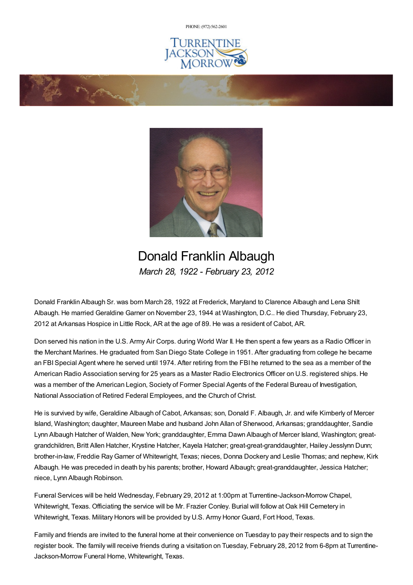PHONE: (972) [562-2601](tel:(972) 562-2601)







## Donald Franklin Albaugh *March 28, 1922 - February 23, 2012*

Donald Franklin Albaugh Sr. was born March 28, 1922 at Frederick, Maryland to Clarence Albaugh and Lena Shilt Albaugh. He married Geraldine Garner on November 23, 1944 at Washington, D.C.. He died Thursday, February 23, 2012 at Arkansas Hospice in Little Rock, AR at the age of 89. He was a resident of Cabot, AR.

Don served his nation in the U.S. Army Air Corps. during World War II. He then spent a few years as a Radio Officer in the Merchant Marines. He graduated from San Diego State College in 1951. After graduating from college he became an FBISpecial Agent where he served until 1974. After retiring from the FBI he returned to the sea as a member of the American Radio Association serving for 25 years as a Master Radio Electronics Officer on U.S. registered ships. He was a member of the American Legion, Society of Former Special Agents of the Federal Bureau of Investigation, National Association of Retired Federal Employees, and the Church of Christ.

He is survived by wife, Geraldine Albaugh of Cabot, Arkansas; son, Donald F. Albaugh, Jr. and wife Kimberly of Mercer Island, Washington; daughter, Maureen Mabe and husband John Allan of Sherwood, Arkansas; granddaughter, Sandie Lynn Albaugh Hatcher of Walden, New York; granddaughter, Emma Dawn Albaugh of Mercer Island, Washington; greatgrandchildren, Britt Allen Hatcher, Krystine Hatcher, Kayela Hatcher; great-great-granddaughter, Hailey Jesslynn Dunn; brother-in-law, Freddie RayGarner of Whitewright, Texas; nieces, Donna Dockery and Leslie Thomas; and nephew, Kirk Albaugh. He was preceded in death by his parents; brother, Howard Albaugh; great-granddaughter, Jessica Hatcher; niece, Lynn Albaugh Robinson.

Funeral Services will be held Wednesday, February 29, 2012 at 1:00pm at Turrentine-Jackson-Morrow Chapel, Whitewright, Texas. Officiating the service will be Mr. Frazier Conley. Burial will follow at Oak Hill Cemetery in Whitewright, Texas. Military Honors will be provided by U.S. Army Honor Guard, Fort Hood, Texas.

Family and friends are invited to the funeral home at their convenience on Tuesday to pay their respects and to sign the register book. The family will receive friends during a visitation on Tuesday, February 28, 2012 from 6-8pm at Turrentine-Jackson-Morrow Funeral Home, Whitewright, Texas.